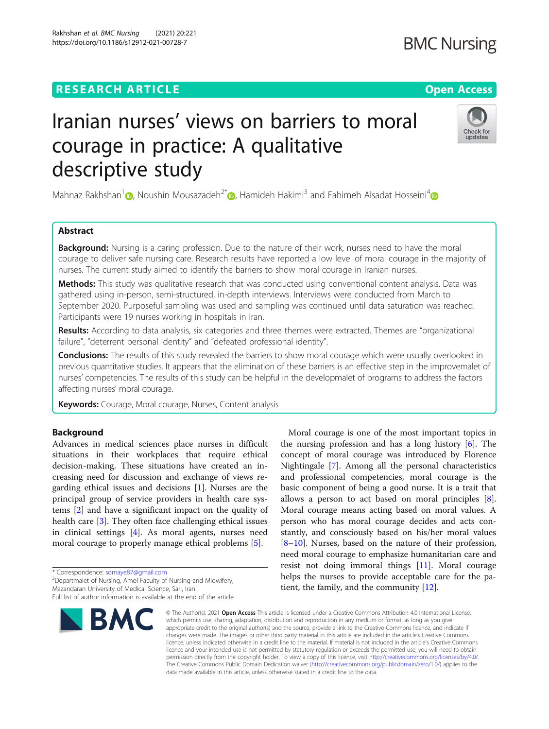### **RESEARCH ARTICLE Example 2014 12:30 The Contract of Contract ACCESS**

# Iranian nurses' views on barriers to moral courage in practice: A qualitative descriptive study

Mahnaz Rakhshan<sup>1</sup> , Noushin Mousazadeh<sup>2\*</sup> , Hamideh Hakimi<sup>3</sup> and Fahimeh Alsadat Hosseini<sup>4</sup>

#### Abstract

Background: Nursing is a caring profession. Due to the nature of their work, nurses need to have the moral courage to deliver safe nursing care. Research results have reported a low level of moral courage in the majority of nurses. The current study aimed to identify the barriers to show moral courage in Iranian nurses.

Methods: This study was qualitative research that was conducted using conventional content analysis. Data was gathered using in-person, semi-structured, in-depth interviews. Interviews were conducted from March to September 2020. Purposeful sampling was used and sampling was continued until data saturation was reached. Participants were 19 nurses working in hospitals in Iran.

Results: According to data analysis, six categories and three themes were extracted. Themes are "organizational failure", "deterrent personal identity" and "defeated professional identity".

Conclusions: The results of this study revealed the barriers to show moral courage which were usually overlooked in previous quantitative studies. It appears that the elimination of these barriers is an effective step in the improvemalet of nurses' competencies. The results of this study can be helpful in the developmalet of programs to address the factors affecting nurses' moral courage.

Keywords: Courage, Moral courage, Nurses, Content analysis

#### Background

Advances in medical sciences place nurses in difficult situations in their workplaces that require ethical decision-making. These situations have created an increasing need for discussion and exchange of views regarding ethical issues and decisions [[1\]](#page-7-0). Nurses are the principal group of service providers in health care systems [\[2\]](#page-7-0) and have a significant impact on the quality of health care [[3\]](#page-7-0). They often face challenging ethical issues in clinical settings [\[4](#page-7-0)]. As moral agents, nurses need moral courage to properly manage ethical problems [\[5](#page-7-0)].

\* Correspondence: [somaye87@gmail.com](mailto:somaye87@gmail.com) <sup>2</sup>

BMC

<sup>2</sup>Departmalet of Nursing, Amol Faculty of Nursing and Midwifery,

the nursing profession and has a long history  $[6]$  $[6]$ . The concept of moral courage was introduced by Florence Nightingale [[7\]](#page-7-0). Among all the personal characteristics and professional competencies, moral courage is the basic component of being a good nurse. It is a trait that allows a person to act based on moral principles [\[8](#page-7-0)]. Moral courage means acting based on moral values. A person who has moral courage decides and acts constantly, and consciously based on his/her moral values [[8](#page-7-0)–[10\]](#page-7-0). Nurses, based on the nature of their profession, need moral courage to emphasize humanitarian care and resist not doing immoral things [[11\]](#page-7-0). Moral courage helps the nurses to provide acceptable care for the patient, the family, and the community [\[12\]](#page-7-0).

Moral courage is one of the most important topics in

© The Author(s), 2021 **Open Access** This article is licensed under a Creative Commons Attribution 4.0 International License, which permits use, sharing, adaptation, distribution and reproduction in any medium or format, as long as you give appropriate credit to the original author(s) and the source, provide a link to the Creative Commons licence, and indicate if changes were made. The images or other third party material in this article are included in the article's Creative Commons licence, unless indicated otherwise in a credit line to the material. If material is not included in the article's Creative Commons licence and your intended use is not permitted by statutory regulation or exceeds the permitted use, you will need to obtain permission directly from the copyright holder. To view a copy of this licence, visit [http://creativecommons.org/licenses/by/4.0/.](http://creativecommons.org/licenses/by/4.0/) The Creative Commons Public Domain Dedication waiver [\(http://creativecommons.org/publicdomain/zero/1.0/](http://creativecommons.org/publicdomain/zero/1.0/)) applies to the data made available in this article, unless otherwise stated in a credit line to the data.

## Rakhshan *et al. BMC Nursing (*2021) 20:221<br>https://doi.org/10.1186/s12912-021-00728-7





Mazandaran University of Medical Science, Sari, Iran Full list of author information is available at the end of the article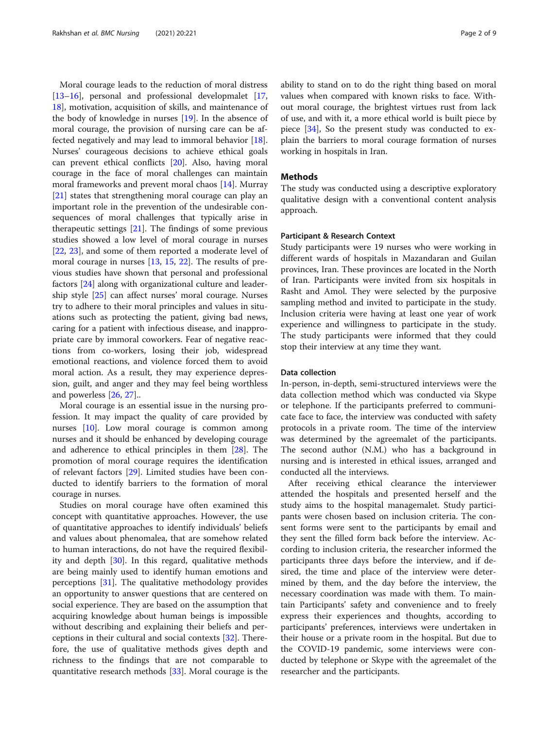Moral courage leads to the reduction of moral distress [[13](#page-7-0)–[16](#page-7-0)], personal and professional developmalet [[17](#page-7-0), [18\]](#page-7-0), motivation, acquisition of skills, and maintenance of the body of knowledge in nurses  $[19]$  $[19]$ . In the absence of moral courage, the provision of nursing care can be affected negatively and may lead to immoral behavior [\[18](#page-7-0)]. Nurses' courageous decisions to achieve ethical goals can prevent ethical conflicts [[20\]](#page-7-0). Also, having moral courage in the face of moral challenges can maintain moral frameworks and prevent moral chaos [[14\]](#page-7-0). Murray [[21\]](#page-7-0) states that strengthening moral courage can play an important role in the prevention of the undesirable consequences of moral challenges that typically arise in therapeutic settings  $[21]$  $[21]$ . The findings of some previous studies showed a low level of moral courage in nurses [[22,](#page-7-0) [23](#page-7-0)], and some of them reported a moderate level of moral courage in nurses [[13](#page-7-0), [15,](#page-7-0) [22](#page-7-0)]. The results of previous studies have shown that personal and professional factors [\[24](#page-7-0)] along with organizational culture and leadership style [[25\]](#page-7-0) can affect nurses' moral courage. Nurses try to adhere to their moral principles and values in situations such as protecting the patient, giving bad news, caring for a patient with infectious disease, and inappropriate care by immoral coworkers. Fear of negative reactions from co-workers, losing their job, widespread emotional reactions, and violence forced them to avoid moral action. As a result, they may experience depression, guilt, and anger and they may feel being worthless and powerless [[26](#page-7-0), [27](#page-7-0)]..

Moral courage is an essential issue in the nursing profession. It may impact the quality of care provided by nurses [[10\]](#page-7-0). Low moral courage is common among nurses and it should be enhanced by developing courage and adherence to ethical principles in them [\[28](#page-7-0)]. The promotion of moral courage requires the identification of relevant factors [[29](#page-7-0)]. Limited studies have been conducted to identify barriers to the formation of moral courage in nurses.

Studies on moral courage have often examined this concept with quantitative approaches. However, the use of quantitative approaches to identify individuals' beliefs and values about phenomalea, that are somehow related to human interactions, do not have the required flexibility and depth [[30](#page-7-0)]. In this regard, qualitative methods are being mainly used to identify human emotions and perceptions [[31](#page-7-0)]. The qualitative methodology provides an opportunity to answer questions that are centered on social experience. They are based on the assumption that acquiring knowledge about human beings is impossible without describing and explaining their beliefs and perceptions in their cultural and social contexts [[32](#page-7-0)]. Therefore, the use of qualitative methods gives depth and richness to the findings that are not comparable to quantitative research methods [[33\]](#page-7-0). Moral courage is the ability to stand on to do the right thing based on moral values when compared with known risks to face. Without moral courage, the brightest virtues rust from lack of use, and with it, a more ethical world is built piece by piece [\[34](#page-7-0)], So the present study was conducted to explain the barriers to moral courage formation of nurses working in hospitals in Iran.

#### Methods

The study was conducted using a descriptive exploratory qualitative design with a conventional content analysis approach.

#### Participant & Research Context

Study participants were 19 nurses who were working in different wards of hospitals in Mazandaran and Guilan provinces, Iran. These provinces are located in the North of Iran. Participants were invited from six hospitals in Rasht and Amol. They were selected by the purposive sampling method and invited to participate in the study. Inclusion criteria were having at least one year of work experience and willingness to participate in the study. The study participants were informed that they could stop their interview at any time they want.

#### Data collection

In-person, in-depth, semi-structured interviews were the data collection method which was conducted via Skype or telephone. If the participants preferred to communicate face to face, the interview was conducted with safety protocols in a private room. The time of the interview was determined by the agreemalet of the participants. The second author (N.M.) who has a background in nursing and is interested in ethical issues, arranged and conducted all the interviews.

After receiving ethical clearance the interviewer attended the hospitals and presented herself and the study aims to the hospital managemalet. Study participants were chosen based on inclusion criteria. The consent forms were sent to the participants by email and they sent the filled form back before the interview. According to inclusion criteria, the researcher informed the participants three days before the interview, and if desired, the time and place of the interview were determined by them, and the day before the interview, the necessary coordination was made with them. To maintain Participants' safety and convenience and to freely express their experiences and thoughts, according to participants' preferences, interviews were undertaken in their house or a private room in the hospital. But due to the COVID-19 pandemic, some interviews were conducted by telephone or Skype with the agreemalet of the researcher and the participants.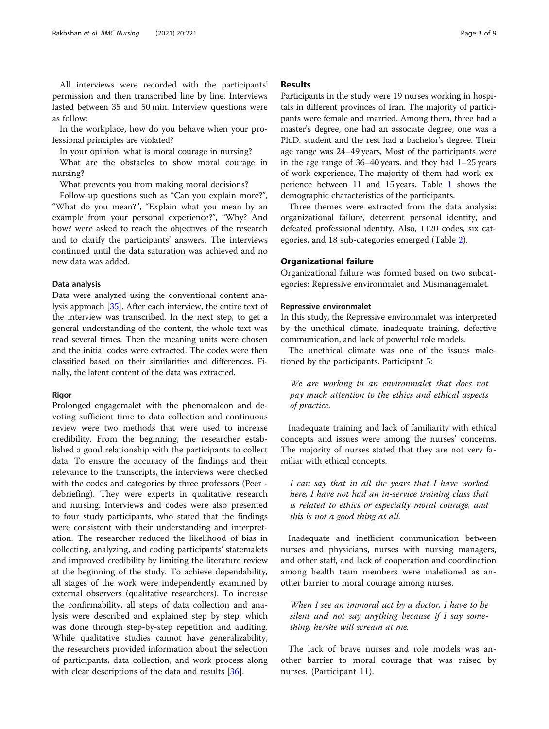as follow: In the workplace, how do you behave when your professional principles are violated?

lasted between 35 and 50 min. Interview questions were

In your opinion, what is moral courage in nursing?

What are the obstacles to show moral courage in nursing?

What prevents you from making moral decisions?

Follow-up questions such as "Can you explain more?", "What do you mean?", "Explain what you mean by an example from your personal experience?", "Why? And how? were asked to reach the objectives of the research and to clarify the participants' answers. The interviews continued until the data saturation was achieved and no new data was added.

#### Data analysis

Data were analyzed using the conventional content analysis approach [\[35\]](#page-7-0). After each interview, the entire text of the interview was transcribed. In the next step, to get a general understanding of the content, the whole text was read several times. Then the meaning units were chosen and the initial codes were extracted. The codes were then classified based on their similarities and differences. Finally, the latent content of the data was extracted.

#### Rigor

Prolonged engagemalet with the phenomaleon and devoting sufficient time to data collection and continuous review were two methods that were used to increase credibility. From the beginning, the researcher established a good relationship with the participants to collect data. To ensure the accuracy of the findings and their relevance to the transcripts, the interviews were checked with the codes and categories by three professors (Peer debriefing). They were experts in qualitative research and nursing. Interviews and codes were also presented to four study participants, who stated that the findings were consistent with their understanding and interpretation. The researcher reduced the likelihood of bias in collecting, analyzing, and coding participants' statemalets and improved credibility by limiting the literature review at the beginning of the study. To achieve dependability, all stages of the work were independently examined by external observers (qualitative researchers). To increase the confirmability, all steps of data collection and analysis were described and explained step by step, which was done through step-by-step repetition and auditing. While qualitative studies cannot have generalizability, the researchers provided information about the selection of participants, data collection, and work process along with clear descriptions of the data and results [[36\]](#page-7-0).

#### Results

Participants in the study were 19 nurses working in hospitals in different provinces of Iran. The majority of participants were female and married. Among them, three had a master's degree, one had an associate degree, one was a Ph.D. student and the rest had a bachelor's degree. Their age range was 24–49 years, Most of the participants were in the age range of 36–40 years. and they had 1–25 years of work experience, The majority of them had work experience between 11 and 15 years. Table [1](#page-3-0) shows the demographic characteristics of the participants.

Three themes were extracted from the data analysis: organizational failure, deterrent personal identity, and defeated professional identity. Also, 1120 codes, six categories, and 18 sub-categories emerged (Table [2](#page-3-0)).

#### Organizational failure

Organizational failure was formed based on two subcategories: Repressive environmalet and Mismanagemalet.

#### Repressive environmalet

In this study, the Repressive environmalet was interpreted by the unethical climate, inadequate training, defective communication, and lack of powerful role models.

The unethical climate was one of the issues maletioned by the participants. Participant 5:

We are working in an environmalet that does not pay much attention to the ethics and ethical aspects of practice.

Inadequate training and lack of familiarity with ethical concepts and issues were among the nurses' concerns. The majority of nurses stated that they are not very familiar with ethical concepts.

I can say that in all the years that I have worked here, I have not had an in-service training class that is related to ethics or especially moral courage, and this is not a good thing at all.

Inadequate and inefficient communication between nurses and physicians, nurses with nursing managers, and other staff, and lack of cooperation and coordination among health team members were maletioned as another barrier to moral courage among nurses.

When I see an immoral act by a doctor, I have to be silent and not say anything because if I say something, he/she will scream at me.

The lack of brave nurses and role models was another barrier to moral courage that was raised by nurses. (Participant 11).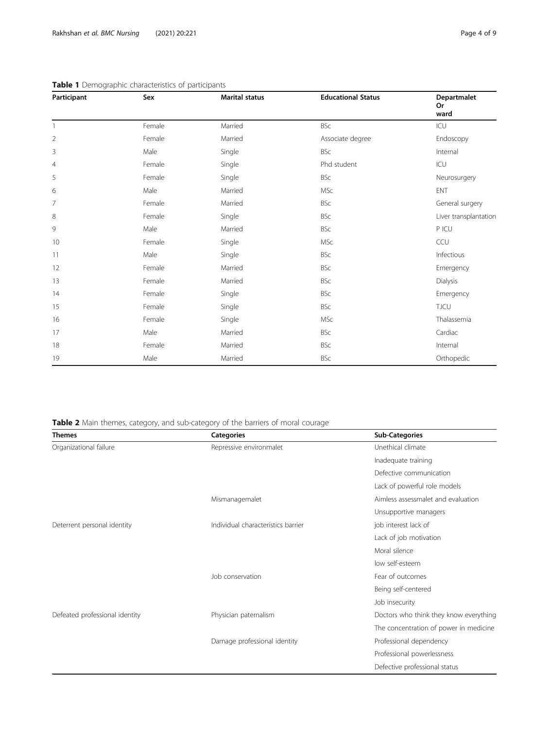| Participant    | Sex    | <b>Marital status</b> | <b>Educational Status</b> | Departmalet<br><b>Or</b><br>ward |
|----------------|--------|-----------------------|---------------------------|----------------------------------|
| $\mathbf{1}$   | Female | Married               | <b>BSc</b>                | ICU                              |
| $\overline{2}$ | Female | Married               | Associate degree          | Endoscopy                        |
| 3              | Male   | Single                | BSc                       | Internal                         |
| $\overline{4}$ | Female | Single                | Phd student               | ICU                              |
| 5              | Female | Single                | <b>BSc</b>                | Neurosurgery                     |
| 6              | Male   | Married               | <b>MSc</b>                | <b>ENT</b>                       |
| 7              | Female | Married               | <b>BSc</b>                | General surgery                  |
| 8              | Female | Single                | <b>BSc</b>                | Liver transplantation            |
| 9              | Male   | Married               | <b>BSc</b>                | P ICU                            |
| 10             | Female | Single                | <b>MSc</b>                | CCU                              |
| 11             | Male   | Single                | <b>BSc</b>                | Infectious                       |
| 12             | Female | Married               | <b>BSc</b>                | Emergency                        |
| 13             | Female | Married               | <b>BSc</b>                | Dialysis                         |
| 14             | Female | Single                | <b>BSc</b>                | Emergency                        |
| 15             | Female | Single                | <b>BSc</b>                | <b>T.ICU</b>                     |
| 16             | Female | Single                | <b>MSc</b>                | Thalassemia                      |
| 17             | Male   | Married               | <b>BSc</b>                | Cardiac                          |
| 18             | Female | Married               | <b>BSc</b>                | Internal                         |
| 19             | Male   | Married               | BSc                       | Orthopedic                       |

#### <span id="page-3-0"></span>Table 1 Demographic characteristics of participants

Table 2 Main themes, category, and sub-category of the barriers of moral courage

| <b>Themes</b>                  | <b>Categories</b>                  | <b>Sub-Categories</b>                  |
|--------------------------------|------------------------------------|----------------------------------------|
| Organizational failure         | Repressive environmalet            | Unethical climate                      |
|                                |                                    | Inadequate training                    |
|                                |                                    | Defective communication                |
|                                |                                    | Lack of powerful role models           |
|                                | Mismanagemalet                     | Aimless assessmalet and evaluation     |
|                                |                                    | Unsupportive managers                  |
| Deterrent personal identity    | Individual characteristics barrier | job interest lack of                   |
|                                |                                    | Lack of job motivation                 |
|                                |                                    | Moral silence                          |
|                                |                                    | low self-esteem                        |
|                                | Job conservation                   | Fear of outcomes                       |
|                                |                                    | Being self-centered                    |
|                                |                                    | Job insecurity                         |
| Defeated professional identity | Physician paternalism              | Doctors who think they know everything |
|                                |                                    | The concentration of power in medicine |
|                                | Damage professional identity       | Professional dependency                |
|                                |                                    | Professional powerlessness             |
|                                |                                    | Defective professional status          |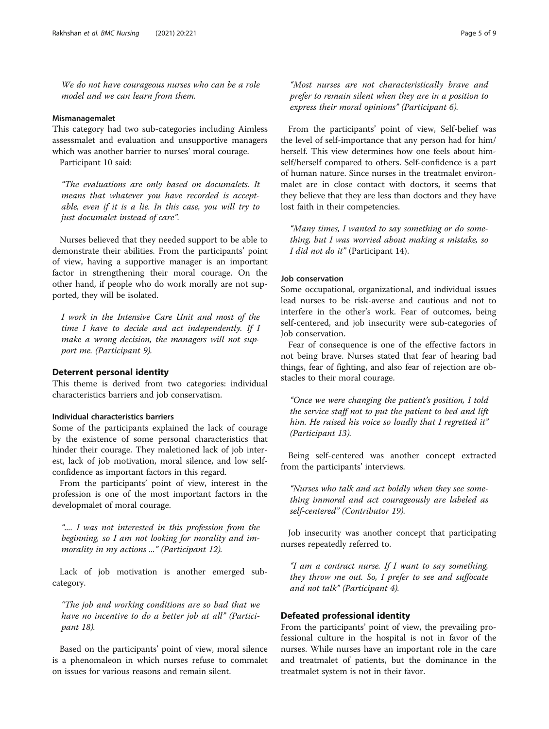We do not have courageous nurses who can be a role model and we can learn from them.

#### Mismanagemalet

This category had two sub-categories including Aimless assessmalet and evaluation and unsupportive managers which was another barrier to nurses' moral courage.

Participant 10 said:

"The evaluations are only based on documalets. It means that whatever you have recorded is acceptable, even if it is a lie. In this case, you will try to just documalet instead of care".

Nurses believed that they needed support to be able to demonstrate their abilities. From the participants' point of view, having a supportive manager is an important factor in strengthening their moral courage. On the other hand, if people who do work morally are not supported, they will be isolated.

I work in the Intensive Care Unit and most of the time I have to decide and act independently. If I make a wrong decision, the managers will not support me. (Participant 9).

#### Deterrent personal identity

This theme is derived from two categories: individual characteristics barriers and job conservatism.

#### Individual characteristics barriers

Some of the participants explained the lack of courage by the existence of some personal characteristics that hinder their courage. They maletioned lack of job interest, lack of job motivation, moral silence, and low selfconfidence as important factors in this regard.

From the participants' point of view, interest in the profession is one of the most important factors in the developmalet of moral courage.

".... I was not interested in this profession from the beginning, so I am not looking for morality and immorality in my actions ..." (Participant 12).

Lack of job motivation is another emerged subcategory.

"The job and working conditions are so bad that we have no incentive to do a better job at all" (Participant 18).

Based on the participants' point of view, moral silence is a phenomaleon in which nurses refuse to commalet on issues for various reasons and remain silent.

"Most nurses are not characteristically brave and prefer to remain silent when they are in a position to express their moral opinions" (Participant 6).

From the participants' point of view, Self-belief was the level of self-importance that any person had for him/ herself. This view determines how one feels about himself/herself compared to others. Self-confidence is a part of human nature. Since nurses in the treatmalet environmalet are in close contact with doctors, it seems that they believe that they are less than doctors and they have lost faith in their competencies.

"Many times, I wanted to say something or do something, but I was worried about making a mistake, so I did not do it" (Participant 14).

#### Job conservation

Some occupational, organizational, and individual issues lead nurses to be risk-averse and cautious and not to interfere in the other's work. Fear of outcomes, being self-centered, and job insecurity were sub-categories of Job conservation.

Fear of consequence is one of the effective factors in not being brave. Nurses stated that fear of hearing bad things, fear of fighting, and also fear of rejection are obstacles to their moral courage.

"Once we were changing the patient's position, I told the service staff not to put the patient to bed and lift him. He raised his voice so loudly that I regretted it" (Participant 13).

Being self-centered was another concept extracted from the participants' interviews.

"Nurses who talk and act boldly when they see something immoral and act courageously are labeled as self-centered" (Contributor 19).

Job insecurity was another concept that participating nurses repeatedly referred to.

"I am a contract nurse. If I want to say something, they throw me out. So, I prefer to see and suffocate and not talk" (Participant 4).

#### Defeated professional identity

From the participants' point of view, the prevailing professional culture in the hospital is not in favor of the nurses. While nurses have an important role in the care and treatmalet of patients, but the dominance in the treatmalet system is not in their favor.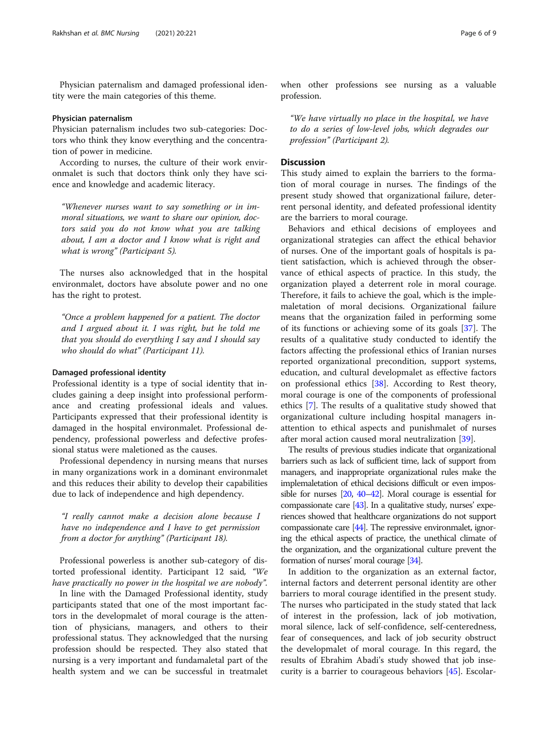Physician paternalism and damaged professional identity were the main categories of this theme.

#### Physician paternalism

Physician paternalism includes two sub-categories: Doctors who think they know everything and the concentration of power in medicine.

According to nurses, the culture of their work environmalet is such that doctors think only they have science and knowledge and academic literacy.

"Whenever nurses want to say something or in immoral situations, we want to share our opinion, doctors said you do not know what you are talking about, I am a doctor and I know what is right and what is wrong" (Participant 5).

The nurses also acknowledged that in the hospital environmalet, doctors have absolute power and no one has the right to protest.

"Once a problem happened for a patient. The doctor and I argued about it. I was right, but he told me that you should do everything I say and I should say who should do what" (Participant 11).

#### Damaged professional identity

Professional identity is a type of social identity that includes gaining a deep insight into professional performance and creating professional ideals and values. Participants expressed that their professional identity is damaged in the hospital environmalet. Professional dependency, professional powerless and defective professional status were maletioned as the causes.

Professional dependency in nursing means that nurses in many organizations work in a dominant environmalet and this reduces their ability to develop their capabilities due to lack of independence and high dependency.

"I really cannot make a decision alone because I have no independence and I have to get permission from a doctor for anything" (Participant 18).

Professional powerless is another sub-category of distorted professional identity. Participant 12 said, "We have practically no power in the hospital we are nobody".

In line with the Damaged Professional identity, study participants stated that one of the most important factors in the developmalet of moral courage is the attention of physicians, managers, and others to their professional status. They acknowledged that the nursing profession should be respected. They also stated that nursing is a very important and fundamaletal part of the health system and we can be successful in treatmalet

when other professions see nursing as a valuable profession.

"We have virtually no place in the hospital, we have to do a series of low-level jobs, which degrades our profession" (Participant 2).

#### **Discussion**

This study aimed to explain the barriers to the formation of moral courage in nurses. The findings of the present study showed that organizational failure, deterrent personal identity, and defeated professional identity are the barriers to moral courage.

Behaviors and ethical decisions of employees and organizational strategies can affect the ethical behavior of nurses. One of the important goals of hospitals is patient satisfaction, which is achieved through the observance of ethical aspects of practice. In this study, the organization played a deterrent role in moral courage. Therefore, it fails to achieve the goal, which is the implemaletation of moral decisions. Organizational failure means that the organization failed in performing some of its functions or achieving some of its goals [\[37](#page-7-0)]. The results of a qualitative study conducted to identify the factors affecting the professional ethics of Iranian nurses reported organizational precondition, support systems, education, and cultural developmalet as effective factors on professional ethics [\[38](#page-7-0)]. According to Rest theory, moral courage is one of the components of professional ethics [[7\]](#page-7-0). The results of a qualitative study showed that organizational culture including hospital managers inattention to ethical aspects and punishmalet of nurses after moral action caused moral neutralization [[39\]](#page-7-0).

The results of previous studies indicate that organizational barriers such as lack of sufficient time, lack of support from managers, and inappropriate organizational rules make the implemaletation of ethical decisions difficult or even impossible for nurses [\[20](#page-7-0), [40](#page-7-0)–[42](#page-7-0)]. Moral courage is essential for compassionate care [\[43\]](#page-7-0). In a qualitative study, nurses' experiences showed that healthcare organizations do not support compassionate care [\[44](#page-7-0)]. The repressive environmalet, ignoring the ethical aspects of practice, the unethical climate of the organization, and the organizational culture prevent the formation of nurses' moral courage [[34\]](#page-7-0).

In addition to the organization as an external factor, internal factors and deterrent personal identity are other barriers to moral courage identified in the present study. The nurses who participated in the study stated that lack of interest in the profession, lack of job motivation, moral silence, lack of self-confidence, self-centeredness, fear of consequences, and lack of job security obstruct the developmalet of moral courage. In this regard, the results of Ebrahim Abadi's study showed that job insecurity is a barrier to courageous behaviors [[45\]](#page-7-0). Escolar-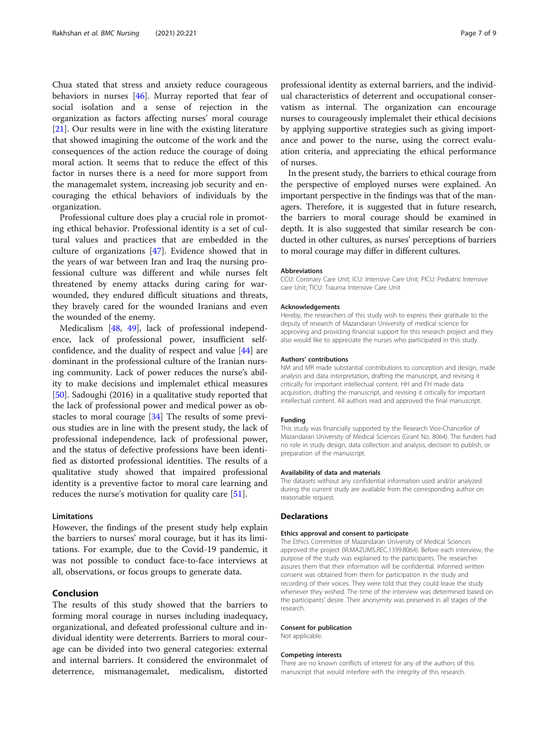Chua stated that stress and anxiety reduce courageous behaviors in nurses [\[46\]](#page-7-0). Murray reported that fear of social isolation and a sense of rejection in the organization as factors affecting nurses' moral courage [[21\]](#page-7-0). Our results were in line with the existing literature that showed imagining the outcome of the work and the consequences of the action reduce the courage of doing moral action. It seems that to reduce the effect of this factor in nurses there is a need for more support from the managemalet system, increasing job security and encouraging the ethical behaviors of individuals by the organization.

Professional culture does play a crucial role in promoting ethical behavior. Professional identity is a set of cultural values and practices that are embedded in the culture of organizations [\[47](#page-7-0)]. Evidence showed that in the years of war between Iran and Iraq the nursing professional culture was different and while nurses felt threatened by enemy attacks during caring for warwounded, they endured difficult situations and threats, they bravely cared for the wounded Iranians and even the wounded of the enemy.

Medicalism [[48](#page-8-0), [49](#page-8-0)], lack of professional independence, lack of professional power, insufficient selfconfidence, and the duality of respect and value [[44\]](#page-7-0) are dominant in the professional culture of the Iranian nursing community. Lack of power reduces the nurse's ability to make decisions and implemalet ethical measures [[50\]](#page-8-0). Sadoughi (2016) in a qualitative study reported that the lack of professional power and medical power as obstacles to moral courage [\[34\]](#page-7-0) The results of some previous studies are in line with the present study, the lack of professional independence, lack of professional power, and the status of defective professions have been identified as distorted professional identities. The results of a qualitative study showed that impaired professional identity is a preventive factor to moral care learning and reduces the nurse's motivation for quality care [\[51\]](#page-8-0).

#### Limitations

However, the findings of the present study help explain the barriers to nurses' moral courage, but it has its limitations. For example, due to the Covid-19 pandemic, it was not possible to conduct face-to-face interviews at all, observations, or focus groups to generate data.

#### Conclusion

The results of this study showed that the barriers to forming moral courage in nurses including inadequacy, organizational, and defeated professional culture and individual identity were deterrents. Barriers to moral courage can be divided into two general categories: external and internal barriers. It considered the environmalet of deterrence, mismanagemalet, medicalism, distorted

professional identity as external barriers, and the individual characteristics of deterrent and occupational conservatism as internal. The organization can encourage nurses to courageously implemalet their ethical decisions by applying supportive strategies such as giving importance and power to the nurse, using the correct evaluation criteria, and appreciating the ethical performance of nurses.

In the present study, the barriers to ethical courage from the perspective of employed nurses were explained. An important perspective in the findings was that of the managers. Therefore, it is suggested that in future research, the barriers to moral courage should be examined in depth. It is also suggested that similar research be conducted in other cultures, as nurses' perceptions of barriers to moral courage may differ in different cultures.

#### Abbreviations

CCU: Coronary Care Unit; ICU: Intensive Care Unit; PICU: Pediatric Intensive care Unit; TICU: Trauma Intensive Care Unit

#### Acknowledgements

Hereby, the researchers of this study wish to express their gratitude to the deputy of research of Mazandaran University of medical science for approving and providing financial support for this research project and they also would like to appreciate the nurses who participated in this study.

#### Authors' contributions

NM and MR made substantial contributions to conception and design, made analysis and data interpretation, drafting the manuscript, and revising it critically for important intellectual content. HH and FH made data acquisition, drafting the manuscript, and revising it critically for important intellectual content. All authors read and approved the final manuscript.

#### Funding

This study was financially supported by the Research Vice-Chancellor of Mazandaran University of Medical Sciences (Grant No. 8064). The funders had no role in study design, data collection and analysis, decision to publish, or preparation of the manuscript.

#### Availability of data and materials

The datasets without any confidential information used and/or analyzed during the current study are available from the corresponding author on reasonable request.

#### Declarations

#### Ethics approval and consent to participate

The Ethics Committee of Mazandaran University of Medical Sciences approved the project (IR.MAZUMS.REC.1399.8064). Before each interview, the purpose of the study was explained to the participants. The researcher assures them that their information will be confidential. Informed written consent was obtained from them for participation in the study and recording of their voices. They were told that they could leave the study whenever they wished. The time of the interview was determined based on the participants' desire. Their anonymity was preserved in all stages of the research.

#### Consent for publication

Not applicable.

#### Competing interests

There are no known conflicts of interest for any of the authors of this manuscript that would interfere with the integrity of this research.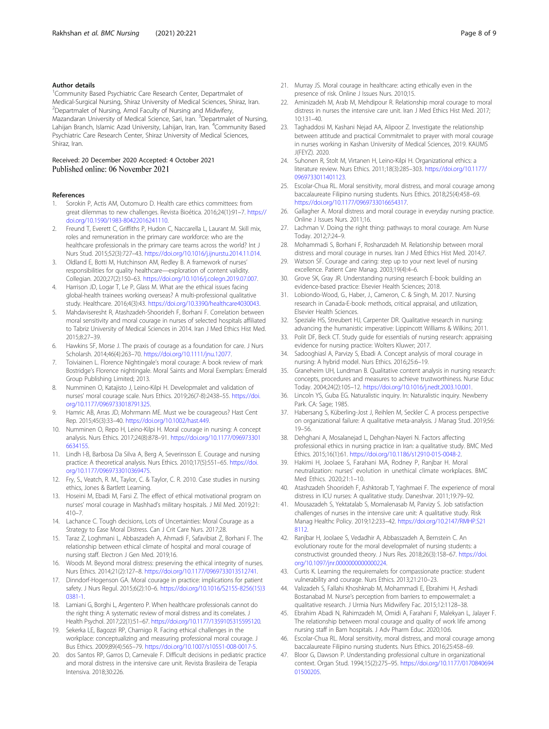#### <span id="page-7-0"></span>Author details

<sup>1</sup> Community Based Psychiatric Care Research Center, Departmalet of Medical-Surgical Nursing, Shiraz University of Medical Sciences, Shiraz, Iran. <sup>2</sup> Departmalet of Nursing, Amol Faculty of Nursing and Midwifery, Mazandaran University of Medical Science, Sari, Iran. <sup>3</sup>Departmalet of Nursing, Lahijan Branch, Islamic Azad University, Lahijan, Iran, Iran. <sup>4</sup>Community Based Psychiatric Care Research Center, Shiraz University of Medical Sciences, Shiraz, Iran.

#### Received: 20 December 2020 Accepted: 4 October 2021 Published online: 06 November 2021

#### References

- 1. Sorokin P, Actis AM, Outomuro D. Health care ethics committees: from great dilemmas to new challenges. Revista Bioética. 2016;24(1):91–7. [https://](https://doi.org/10.1590/1983-80422016241110) [doi.org/10.1590/1983-80422016241110.](https://doi.org/10.1590/1983-80422016241110)
- 2. Freund T, Everett C, Griffiths P, Hudon C, Naccarella L, Laurant M. Skill mix, roles and remuneration in the primary care workforce: who are the healthcare professionals in the primary care teams across the world? Int J Nurs Stud. 2015;52(3):727–43. <https://doi.org/10.1016/j.ijnurstu.2014.11.014>.
- 3. Oldland E, Botti M, Hutchinson AM, Redley B. A framework of nurses' responsibilities for quality healthcare—exploration of content validity. Collegian. 2020;27(2):150–63. <https://doi.org/10.1016/j.colegn.2019.07.007>.
- 4. Harrison JD, Logar T, Le P, Glass M. What are the ethical issues facing global-health trainees working overseas? A multi-professional qualitative study. Healthcare. 2016;4(3):43. <https://doi.org/10.3390/healthcare4030043>.
- 5. Mahdaviseresht R, Atashzadeh-Shoorideh F, Borhani F. Correlation between moral sensitivity and moral courage in nurses of selected hospitals affiliated to Tabriz University of Medical Sciences in 2014. Iran J Med Ethics Hist Med. 2015;8:27–39.
- 6. Hawkins SF, Morse J. The praxis of courage as a foundation for care. J Nurs Scholarsh. 2014;46(4):263–70. <https://doi.org/10.1111/jnu.12077>.
- 7. Toiviainen L. Florence Nightingale's moral courage: A book review of mark Bostridge's Florence nightingale. Moral Saints and Moral Exemplars: Emerald Group Publishing Limited; 2013.
- 8. Numminen O, Katajisto J, Leino-Kilpi H. Developmalet and validation of nurses' moral courage scale. Nurs Ethics. 2019;26(7-8):2438–55. [https://doi.](https://doi.org/10.1177/0969733018791325) [org/10.1177/0969733018791325.](https://doi.org/10.1177/0969733018791325)
- Hamric AB, Arras JD, Mohrmann ME. Must we be courageous? Hast Cent Rep. 2015;45(3):33–40. [https://doi.org/10.1002/hast.449.](https://doi.org/10.1002/hast.449)
- 10. Numminen O, Repo H, Leino-Kilpi H. Moral courage in nursing: A concept analysis. Nurs Ethics. 2017;24(8):878–91. [https://doi.org/10.1177/096973301](https://doi.org/10.1177/0969733016634155) [6634155.](https://doi.org/10.1177/0969733016634155)
- 11. Lindh I-B, Barbosa Da Silva A, Berg A, Severinsson E. Courage and nursing practice: A theoretical analysis. Nurs Ethics. 2010;17(5):551–65. [https://doi.](https://doi.org/10.1177/0969733010369475) [org/10.1177/0969733010369475.](https://doi.org/10.1177/0969733010369475)
- 12. Fry, S., Veatch, R. M., Taylor, C. & Taylor, C. R. 2010. Case studies in nursing ethics, Jones & Bartlett Learning.
- 13. Hoseini M, Ebadi M, Farsi Z. The effect of ethical motivational program on nurses' moral courage in Mashhad's military hospitals. J Mil Med. 2019;21: 410–7.
- 14. Lachance C. Tough decisions, Lots of Uncertainties: Moral Courage as a Strategy to Ease Moral Distress. Can J Crit Care Nurs. 2017;28.
- 15. Taraz Z, Loghmani L, Abbaszadeh A, Ahmadi F, Safavibiat Z, Borhani F. The relationship between ethical climate of hospital and moral courage of nursing staff. Electron J Gen Med. 2019;16.
- 16. Woods M. Beyond moral distress: preserving the ethical integrity of nurses. Nurs Ethics. 2014;21(2):127–8. [https://doi.org/10.1177/0969733013512741.](https://doi.org/10.1177/0969733013512741)
- 17. Dinndorf-Hogenson GA. Moral courage in practice: implications for patient safety. J Nurs Regul. 2015;6(2):10–6. [https://doi.org/10.1016/S2155-8256\(15\)3](https://doi.org/10.1016/S2155-8256(15)30381-1) [0381-1.](https://doi.org/10.1016/S2155-8256(15)30381-1)
- 18. Lamiani G, Borghi L, Argentero P. When healthcare professionals cannot do the right thing: A systematic review of moral distress and its correlates. J Health Psychol. 2017;22(1):51–67. <https://doi.org/10.1177/1359105315595120>.
- 19. Sekerka LE, Bagozzi RP, Charnigo R. Facing ethical challenges in the workplace: conceptualizing and measuring professional moral courage. J Bus Ethics. 2009;89(4):565–79. [https://doi.org/10.1007/s10551-008-0017-5.](https://doi.org/10.1007/s10551-008-0017-5)
- 20. dos Santos RP, Garros D, Carnevale F. Difficult decisions in pediatric practice and moral distress in the intensive care unit. Revista Brasileira de Terapia Intensiva. 2018;30:226.
- 21. Murray JS. Moral courage in healthcare: acting ethically even in the presence of risk. Online J Issues Nurs. 2010;15.
- 22. Aminizadeh M, Arab M, Mehdipour R. Relationship moral courage to moral distress in nurses the intensive care unit. Iran J Med Ethics Hist Med. 2017; 10:131–40.
- 23. Taghaddosi M, Kashani Nejad AA, Alipoor Z. Investigate the relationship between attitude and practical Commitmalet to prayer with moral courage in nurses working in Kashan University of Medical Sciences, 2019. KAUMS J(FEYZ). 2020.
- 24. Suhonen R, Stolt M, Virtanen H, Leino-Kilpi H. Organizational ethics: a literature review. Nurs Ethics. 2011;18(3):285–303. [https://doi.org/10.1177/](https://doi.org/10.1177/0969733011401123) [0969733011401123](https://doi.org/10.1177/0969733011401123).
- 25. Escolar-Chua RL. Moral sensitivity, moral distress, and moral courage among baccalaureate Filipino nursing students. Nurs Ethics. 2018;25(4):458–69. [https://doi.org/10.1177/0969733016654317.](https://doi.org/10.1177/0969733016654317)
- 26. Gallagher A. Moral distress and moral courage in everyday nursing practice. Online J Issues Nurs. 2011;16.
- 27. Lachman V. Doing the right thing: pathways to moral courage. Am Nurse Today. 2012;7:24–9.
- 28. Mohammadi S, Borhani F, Roshanzadeh M. Relationship between moral distress and moral courage in nurses. Iran J Med Ethics Hist Med. 2014;7.
- 29. Watson SF. Courage and caring: step up to your next level of nursing excellence. Patient Care Manag. 2003;19(4):4–6.
- 30. Grove SK, Gray JR. Understanding nursing research E-book: building an evidence-based practice: Elsevier Health Sciences; 2018.
- 31. Lobiondo-Wood, G., Haber, J., Cameron, C. & Singh, M. 2017. Nursing research in Canada-E-book: methods, critical appraisal, and utilization, Elsevier Health Sciences.
- 32. Speziale HS, Streubert HJ, Carpenter DR. Qualitative research in nursing: advancing the humanistic imperative: Lippincott Williams & Wilkins; 2011.
- 33. Polit DF, Beck CT. Study guide for essentials of nursing research: appraising evidence for nursing practice: Wolters Kluwer; 2017.
- 34. Sadooghiasl A, Parvizy S, Ebadi A. Concept analysis of moral courage in nursing: A hybrid model. Nurs Ethics. 2016;25:6–19.
- 35. Graneheim UH, Lundman B. Qualitative content analysis in nursing research: concepts, procedures and measures to achieve trustworthiness. Nurse Educ Today. 2004;24(2):105–12. [https://doi.org/10.1016/j.nedt.2003.10.001.](https://doi.org/10.1016/j.nedt.2003.10.001)
- 36. Lincoln YS, Guba EG. Naturalistic inquiry. In: Naturalistic inquiry. Newberry Park. CA: Sage; 1985.
- 37. Habersang S, Küberling-Jost J, Reihlen M, Seckler C. A process perspective on organizational failure: A qualitative meta-analysis. J Manag Stud. 2019;56: 19–56.
- 38. Dehghani A, Mosalanejad L, Dehghan-Nayeri N. Factors affecting professional ethics in nursing practice in Iran: a qualitative study. BMC Med Ethics. 2015;16(1):61. [https://doi.org/10.1186/s12910-015-0048-2.](https://doi.org/10.1186/s12910-015-0048-2)
- 39. Hakimi H, Joolaee S, Farahani MA, Rodney P, Ranjbar H. Moral neutralization: nurses' evolution in unethical climate workplaces. BMC Med Ethics. 2020;21:1–10.
- 40. Atashzadeh Shoorideh F, Ashktorab T, Yaghmaei F. The experience of moral distress in ICU nurses: A qualitative study. Daneshvar. 2011;19:79–92.
- 41. Mousazadeh S, Yektatalab S, Momalenasab M, Parvizy S. Job satisfaction challenges of nurses in the intensive care unit: A qualitative study. Risk Manag Healthc Policy. 2019;12:233–42. [https://doi.org/10.2147/RMHP.S21](https://doi.org/10.2147/RMHP.S218112) [8112](https://doi.org/10.2147/RMHP.S218112).
- 42. Ranjbar H, Joolaee S, Vedadhir A, Abbasszadeh A, Bernstein C. An evolutionary route for the moral developmalet of nursing students: a constructivist grounded theory. J Nurs Res. 2018;26(3):158–67. [https://doi.](https://doi.org/10.1097/jnr.0000000000000224) [org/10.1097/jnr.0000000000000224](https://doi.org/10.1097/jnr.0000000000000224).
- 43. Curtis K. Learning the requiremalets for compassionate practice: student vulnerability and courage. Nurs Ethics. 2013;21:210–23.
- 44. Valizadeh S, Fallahi Khoshknab M, Mohammadi E, Ebrahimi H, Arshadi Bostanabad M. Nurse's perception from barriers to empowermalet: a qualitative research. J Urmia Nurs Midwifery Fac. 2015;12:1128–38.
- 45. Ebrahim Abadi N, Rahimzadeh M, Omidi A, Farahani F, Malekyan L, Jalayer F. The relationship between moral courage and quality of work life among nursing staff in Bam hospitals. J Adv Pharm Educ. 2020;10:6.
- 46. Escolar-Chua RL. Moral sensitivity, moral distress, and moral courage among baccalaureate Filipino nursing students. Nurs Ethics. 2016;25:458–69.
- 47. Bloor G, Dawson P. Understanding professional culture in organizational context. Organ Stud. 1994;15(2):275–95. [https://doi.org/10.1177/0170840694](https://doi.org/10.1177/017084069401500205) [01500205](https://doi.org/10.1177/017084069401500205).